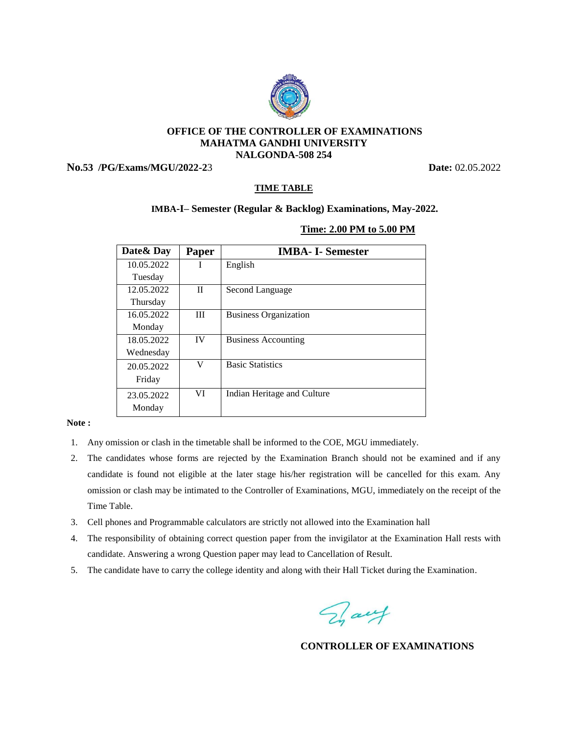

### **OFFICE OF THE CONTROLLER OF EXAMINATIONS MAHATMA GANDHI UNIVERSITY NALGONDA-508 254**

**No.53 /PG/Exams/MGU/2022-2**3 **Date:** 02.05.2022

# **TIME TABLE**

## **IMBA-I– Semester (Regular & Backlog) Examinations, May-2022.**

#### **Time: 2.00 PM to 5.00 PM**

| Date & Day | Paper     | <b>IMBA- I- Semester</b>     |
|------------|-----------|------------------------------|
| 10.05.2022 |           | English                      |
| Tuesday    |           |                              |
| 12.05.2022 | П         | Second Language              |
| Thursday   |           |                              |
| 16.05.2022 | III       | <b>Business Organization</b> |
| Monday     |           |                              |
| 18.05.2022 | <b>IV</b> | <b>Business Accounting</b>   |
| Wednesday  |           |                              |
| 20.05.2022 | V         | <b>Basic Statistics</b>      |
| Friday     |           |                              |
| 23.05.2022 | VI        | Indian Heritage and Culture  |
| Monday     |           |                              |

#### **Note :**

- 1. Any omission or clash in the timetable shall be informed to the COE, MGU immediately.
- 2. The candidates whose forms are rejected by the Examination Branch should not be examined and if any candidate is found not eligible at the later stage his/her registration will be cancelled for this exam. Any omission or clash may be intimated to the Controller of Examinations, MGU, immediately on the receipt of the Time Table.
- 3. Cell phones and Programmable calculators are strictly not allowed into the Examination hall
- 4. The responsibility of obtaining correct question paper from the invigilator at the Examination Hall rests with candidate. Answering a wrong Question paper may lead to Cancellation of Result.
- 5. The candidate have to carry the college identity and along with their Hall Ticket during the Examination.

Fait

**CONTROLLER OF EXAMINATIONS**